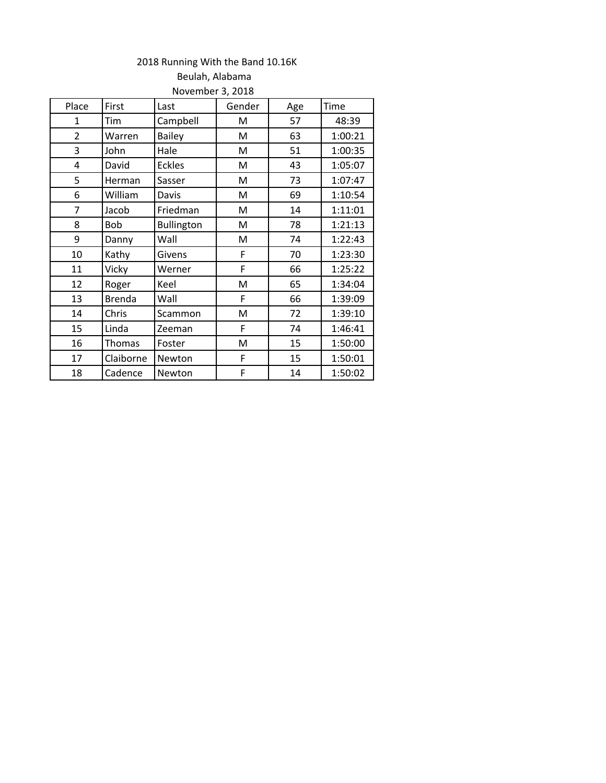## 2018 Running With the Band 10.16K

| Place          | First         | Last          | Gender | Age | Time    |  |  |  |
|----------------|---------------|---------------|--------|-----|---------|--|--|--|
| $\mathbf{1}$   | Tim           | Campbell      | M      | 57  | 48:39   |  |  |  |
| $\overline{2}$ | Warren        | <b>Bailey</b> | M      | 63  | 1:00:21 |  |  |  |
| 3              | John          | Hale          | M      | 51  | 1:00:35 |  |  |  |
| 4              | David         | <b>Eckles</b> | M      | 43  | 1:05:07 |  |  |  |
| 5              | Herman        | Sasser        | M      | 73  | 1:07:47 |  |  |  |
| 6              | William       | Davis         | M      | 69  | 1:10:54 |  |  |  |
| $\overline{7}$ | Jacob         | Friedman      | M      | 14  | 1:11:01 |  |  |  |
| 8              | Bob           | Bullington    | M      | 78  | 1:21:13 |  |  |  |
| 9              | Danny         | Wall          | M      | 74  | 1:22:43 |  |  |  |
| 10             | Kathy         | Givens        | F      | 70  | 1:23:30 |  |  |  |
| 11             | Vicky         | Werner        | F      | 66  | 1:25:22 |  |  |  |
| 12             | Roger         | Keel          | M      | 65  | 1:34:04 |  |  |  |
| 13             | <b>Brenda</b> | Wall          | F      | 66  | 1:39:09 |  |  |  |
| 14             | Chris         | Scammon       | M      | 72  | 1:39:10 |  |  |  |
| 15             | Linda         | Zeeman        | F      | 74  | 1:46:41 |  |  |  |
| 16             | Thomas        | Foster        | M      | 15  | 1:50:00 |  |  |  |
| 17             | Claiborne     | Newton        | F      | 15  | 1:50:01 |  |  |  |
| 18             | Cadence       | Newton        | F      | 14  | 1:50:02 |  |  |  |
|                |               |               |        |     |         |  |  |  |

## Beulah, Alabama November 3, 2018